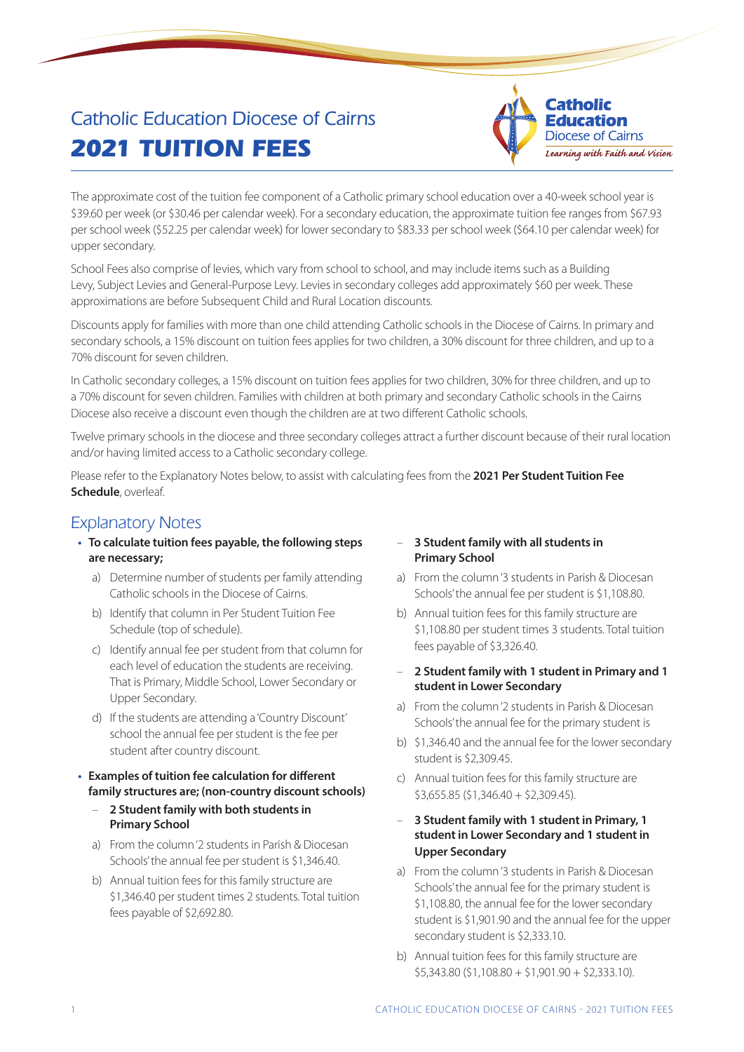# Catholic Education Diocese of Cairns **2021 TUITION FEES**



The approximate cost of the tuition fee component of a Catholic primary school education over a 40-week school year is \$39.60 per week (or \$30.46 per calendar week). For a secondary education, the approximate tuition fee ranges from \$67.93 per school week (\$52.25 per calendar week) for lower secondary to \$83.33 per school week (\$64.10 per calendar week) for upper secondary.

School Fees also comprise of levies, which vary from school to school, and may include items such as a Building Levy, Subject Levies and General-Purpose Levy. Levies in secondary colleges add approximately \$60 per week. These approximations are before Subsequent Child and Rural Location discounts.

Discounts apply for families with more than one child attending Catholic schools in the Diocese of Cairns. In primary and secondary schools, a 15% discount on tuition fees applies for two children, a 30% discount for three children, and up to a 70% discount for seven children.

In Catholic secondary colleges, a 15% discount on tuition fees applies for two children, 30% for three children, and up to a 70% discount for seven children. Families with children at both primary and secondary Catholic schools in the Cairns Diocese also receive a discount even though the children are at two different Catholic schools.

Twelve primary schools in the diocese and three secondary colleges attract a further discount because of their rural location and/or having limited access to a Catholic secondary college.

Please refer to the Explanatory Notes below, to assist with calculating fees from the **2021 Per Student Tuition Fee Schedule**, overleaf.

### Explanatory Notes

- **• To calculate tuition fees payable, the following steps are necessary;**
	- a) Determine number of students per family attending Catholic schools in the Diocese of Cairns.
	- b) Identify that column in Per Student Tuition Fee Schedule (top of schedule).
	- c) Identify annual fee per student from that column for each level of education the students are receiving. That is Primary, Middle School, Lower Secondary or Upper Secondary.
	- d) If the students are attending a 'Country Discount' school the annual fee per student is the fee per student after country discount.
- **• Examples of tuition fee calculation for different family structures are; (non-country discount schools)**
	- **2 Student family with both students in Primary School**
	- a) From the column '2 students in Parish & Diocesan Schools' the annual fee per student is \$1,346.40.
	- b) Annual tuition fees for this family structure are \$1,346.40 per student times 2 students. Total tuition fees payable of \$2,692.80.

### – **3 Student family with all students in Primary School**

- a) From the column '3 students in Parish & Diocesan Schools' the annual fee per student is \$1,108.80.
- b) Annual tuition fees for this family structure are \$1,108.80 per student times 3 students. Total tuition fees payable of \$3,326.40.
- **2 Student family with 1 student in Primary and 1 student in Lower Secondary**
- a) From the column '2 students in Parish & Diocesan Schools' the annual fee for the primary student is
- b) \$1,346.40 and the annual fee for the lower secondary student is \$2,309.45.
- c) Annual tuition fees for this family structure are \$3,655.85 (\$1,346.40 + \$2,309.45).
- **3 Student family with 1 student in Primary, 1 student in Lower Secondary and 1 student in Upper Secondary**
- a) From the column '3 students in Parish & Diocesan Schools' the annual fee for the primary student is \$1,108.80, the annual fee for the lower secondary student is \$1,901.90 and the annual fee for the upper secondary student is \$2,333.10.
- b) Annual tuition fees for this family structure are  $$5,343.80 ($1,108.80 + $1,901.90 + $2,333.10).$